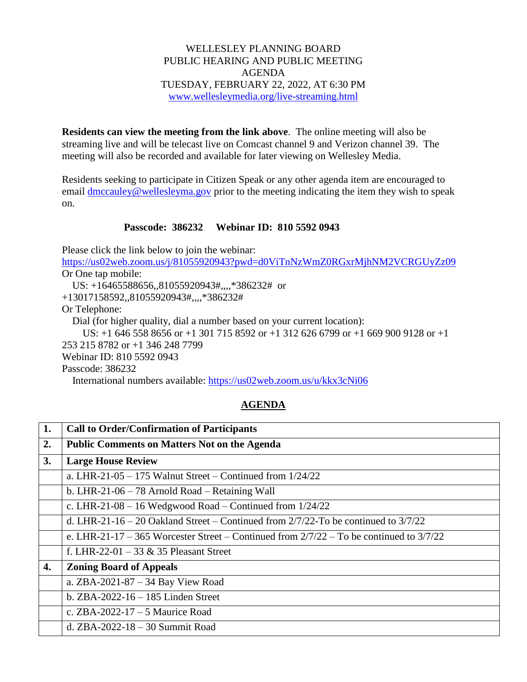## WELLESLEY PLANNING BOARD PUBLIC HEARING AND PUBLIC MEETING AGENDA TUESDAY, FEBRUARY 22, 2022, AT 6:30 PM [www.wellesleymedia.org/live-streaming.html](http://www.wellesleymedia.org/live-streaming.html)

**Residents can view the meeting from the link above**. The online meeting will also be streaming live and will be telecast live on Comcast channel 9 and Verizon channel 39. The meeting will also be recorded and available for later viewing on Wellesley Media.

Residents seeking to participate in Citizen Speak or any other agenda item are encouraged to email [dmccauley@wellesleyma.gov](mailto:dmccauley@wellesleyma.gov) prior to the meeting indicating the item they wish to speak on.

## **Passcode: 386232 Webinar ID: 810 5592 0943**

Please click the link below to join the webinar:

<https://us02web.zoom.us/j/81055920943?pwd=d0ViTnNzWmZ0RGxrMjhNM2VCRGUyZz09> Or One tap mobile:

US: +16465588656,,81055920943#,,,,\*386232# or

+13017158592,,81055920943#,,,,\*386232#

Or Telephone:

Dial (for higher quality, dial a number based on your current location):

 US: +1 646 558 8656 or +1 301 715 8592 or +1 312 626 6799 or +1 669 900 9128 or +1 253 215 8782 or +1 346 248 7799 Webinar ID: 810 5592 0943

Passcode: 386232

International numbers available:<https://us02web.zoom.us/u/kkx3cNi06>

## **AGENDA**

| 1. | <b>Call to Order/Confirmation of Participants</b>                                           |  |  |
|----|---------------------------------------------------------------------------------------------|--|--|
| 2. | <b>Public Comments on Matters Not on the Agenda</b>                                         |  |  |
| 3. | <b>Large House Review</b>                                                                   |  |  |
|    | a. LHR-21-05 - 175 Walnut Street - Continued from $1/24/22$                                 |  |  |
|    | b. LHR-21-06 $-$ 78 Arnold Road $-$ Retaining Wall                                          |  |  |
|    | c. LHR-21-08 – 16 Wedgwood Road – Continued from $1/24/22$                                  |  |  |
|    | d. LHR-21-16 – 20 Oakland Street – Continued from $2/7/22$ -To be continued to $3/7/22$     |  |  |
|    | e. LHR-21-17 – 365 Worcester Street – Continued from $2/7/22$ – To be continued to $3/7/22$ |  |  |
|    | f. LHR-22-01 – 33 $\&$ 35 Pleasant Street                                                   |  |  |
| 4. | <b>Zoning Board of Appeals</b>                                                              |  |  |
|    | a. $ZBA-2021-87-34$ Bay View Road                                                           |  |  |
|    | b. $ZBA-2022-16-185$ Linden Street                                                          |  |  |
|    | c. ZBA-2022-17 – 5 Maurice Road                                                             |  |  |
|    | d. ZBA-2022-18 $-$ 30 Summit Road                                                           |  |  |